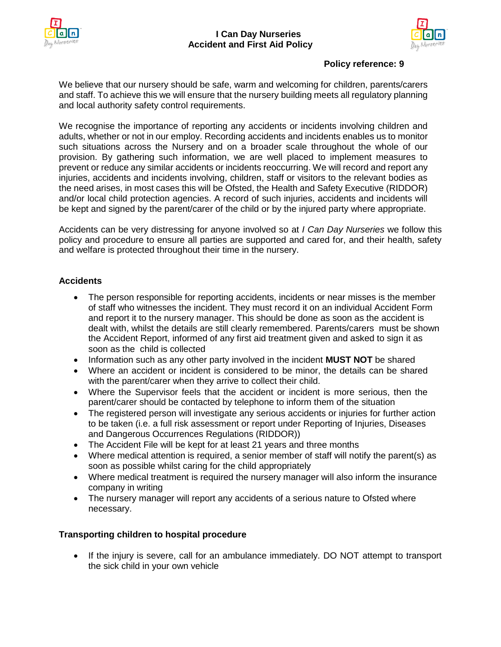



## **Policy reference: 9**

We believe that our nursery should be safe, warm and welcoming for children, parents/carers and staff. To achieve this we will ensure that the nursery building meets all regulatory planning and local authority safety control requirements.

We recognise the importance of reporting any accidents or incidents involving children and adults, whether or not in our employ. Recording accidents and incidents enables us to monitor such situations across the Nursery and on a broader scale throughout the whole of our provision. By gathering such information, we are well placed to implement measures to prevent or reduce any similar accidents or incidents reoccurring. We will record and report any injuries, accidents and incidents involving, children, staff or visitors to the relevant bodies as the need arises, in most cases this will be Ofsted, the Health and Safety Executive (RIDDOR) and/or local child protection agencies. A record of such injuries, accidents and incidents will be kept and signed by the parent/carer of the child or by the injured party where appropriate.

Accidents can be very distressing for anyone involved so at *I Can Day Nurseries* we follow this policy and procedure to ensure all parties are supported and cared for, and their health, safety and welfare is protected throughout their time in the nursery.

# **Accidents**

- The person responsible for reporting accidents, incidents or near misses is the member of staff who witnesses the incident. They must record it on an individual Accident Form and report it to the nursery manager. This should be done as soon as the accident is dealt with, whilst the details are still clearly remembered. Parents/carers must be shown the Accident Report, informed of any first aid treatment given and asked to sign it as soon as the child is collected
- Information such as any other party involved in the incident **MUST NOT** be shared
- Where an accident or incident is considered to be minor, the details can be shared with the parent/carer when they arrive to collect their child.
- Where the Supervisor feels that the accident or incident is more serious, then the parent/carer should be contacted by telephone to inform them of the situation
- The registered person will investigate any serious accidents or injuries for further action to be taken (i.e. a full risk assessment or report under Reporting of Injuries, Diseases and Dangerous Occurrences Regulations (RIDDOR))
- The Accident File will be kept for at least 21 years and three months
- Where medical attention is required, a senior member of staff will notify the parent(s) as soon as possible whilst caring for the child appropriately
- Where medical treatment is required the nursery manager will also inform the insurance company in writing
- The nursery manager will report any accidents of a serious nature to Ofsted where necessary.

## **Transporting children to hospital procedure**

• If the injury is severe, call for an ambulance immediately. DO NOT attempt to transport the sick child in your own vehicle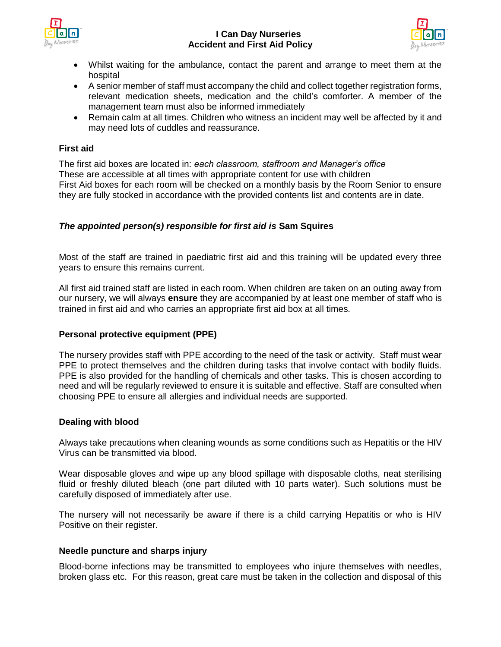

### **I Can Day Nurseries Accident and First Aid Policy**



- Whilst waiting for the ambulance, contact the parent and arrange to meet them at the hospital
- A senior member of staff must accompany the child and collect together registration forms, relevant medication sheets, medication and the child's comforter. A member of the management team must also be informed immediately
- Remain calm at all times. Children who witness an incident may well be affected by it and may need lots of cuddles and reassurance.

## **First aid**

The first aid boxes are located in: *each classroom, staffroom and Manager's office* These are accessible at all times with appropriate content for use with children First Aid boxes for each room will be checked on a monthly basis by the Room Senior to ensure they are fully stocked in accordance with the provided contents list and contents are in date.

### *The appointed person(s) responsible for first aid is* **Sam Squires**

Most of the staff are trained in paediatric first aid and this training will be updated every three years to ensure this remains current.

All first aid trained staff are listed in each room. When children are taken on an outing away from our nursery, we will always **ensure** they are accompanied by at least one member of staff who is trained in first aid and who carries an appropriate first aid box at all times.

#### **Personal protective equipment (PPE)**

The nursery provides staff with PPE according to the need of the task or activity. Staff must wear PPE to protect themselves and the children during tasks that involve contact with bodily fluids. PPE is also provided for the handling of chemicals and other tasks. This is chosen according to need and will be regularly reviewed to ensure it is suitable and effective. Staff are consulted when choosing PPE to ensure all allergies and individual needs are supported.

#### **Dealing with blood**

Always take precautions when cleaning wounds as some conditions such as Hepatitis or the HIV Virus can be transmitted via blood.

Wear disposable gloves and wipe up any blood spillage with disposable cloths, neat sterilising fluid or freshly diluted bleach (one part diluted with 10 parts water). Such solutions must be carefully disposed of immediately after use.

The nursery will not necessarily be aware if there is a child carrying Hepatitis or who is HIV Positive on their register.

#### **Needle puncture and sharps injury**

Blood-borne infections may be transmitted to employees who injure themselves with needles, broken glass etc. For this reason, great care must be taken in the collection and disposal of this